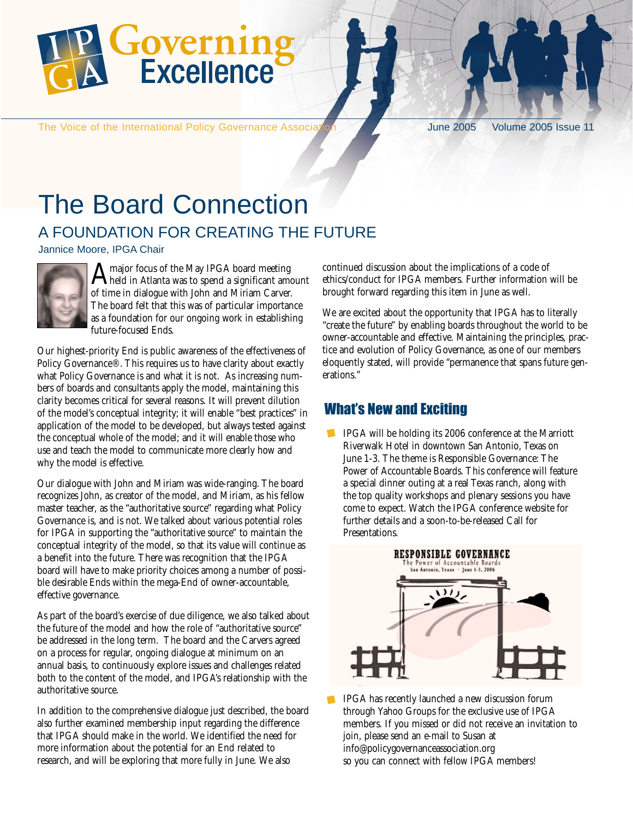

The Voice of the International Policy Governance Association June 2005 Volume 2005 Issue 11

### The Board Connection A FOUNDATION FOR CREATING THE FUTURE

Jannice Moore, IPGA Chair



Amajor focus of the May IPGA board meeting held in Atlanta was to spend a significant amount of time in dialogue with John and Miriam Carver. The board felt that this was of particular importance as a foundation for our ongoing work in establishing future-focused Ends.

Our highest-priority End is public awareness of the effectiveness of Policy Governance®. This requires us to have clarity about exactly what Policy Governance is and what it is not. As increasing numbers of boards and consultants apply the model, maintaining this clarity becomes critical for several reasons. It will prevent dilution of the model's conceptual integrity; it will enable "best practices" in application of the model to be developed, but always tested against the conceptual whole of the model; and it will enable those who use and teach the model to communicate more clearly how and why the model is effective.

Our dialogue with John and Miriam was wide-ranging. The board recognizes John, as creator of the model, and Miriam, as his fellow master teacher, as the "authoritative source" regarding what Policy Governance is, and is not. We talked about various potential roles for IPGA in supporting the "authoritative source" to maintain the conceptual integrity of the model, so that its value will continue as a benefit into the future. There was recognition that the IPGA board will have to make priority choices among a number of possible desirable Ends within the mega-End of owner-accountable, effective governance.

As part of the board's exercise of due diligence, we also talked about the future of the model and how the role of "authoritative source" be addressed in the long term. The board and the Carvers agreed on a process for regular, ongoing dialogue at minimum on an annual basis, to continuously explore issues and challenges related both to the content of the model, and IPGA's relationship with the authoritative source.

In addition to the comprehensive dialogue just described, the board also further examined membership input regarding the difference that IPGA should make in the world. We identified the need for more information about the potential for an End related to research, and will be exploring that more fully in June. We also

continued discussion about the implications of a code of ethics/conduct for IPGA members. Further information will be brought forward regarding this item in June as well.

We are excited about the opportunity that IPGA has to literally "create the future" by enabling boards throughout the world to be owner-accountable and effective. Maintaining the principles, practice and evolution of Policy Governance, as one of our members eloquently stated, will provide "permanence that spans future generations."

#### What's New and Exciting

IPGA will be holding its 2006 conference at the Marriott Riverwalk Hotel in downtown San Antonio, Texas on June 1-3. The theme is Responsible Governance: The Power of Accountable Boards. This conference will feature a special dinner outing at a real Texas ranch, along with the top quality workshops and plenary sessions you have come to expect. Watch the IPGA conference website for further details and a soon-to-be-released Call for Presentations.



IPGA has recently launched a new discussion forum through Yahoo Groups for the exclusive use of IPGA members. If you missed or did not receive an invitation to join, please send an e-mail to Susan at info@policygovernanceassociation.org so you can connect with fellow IPGA members!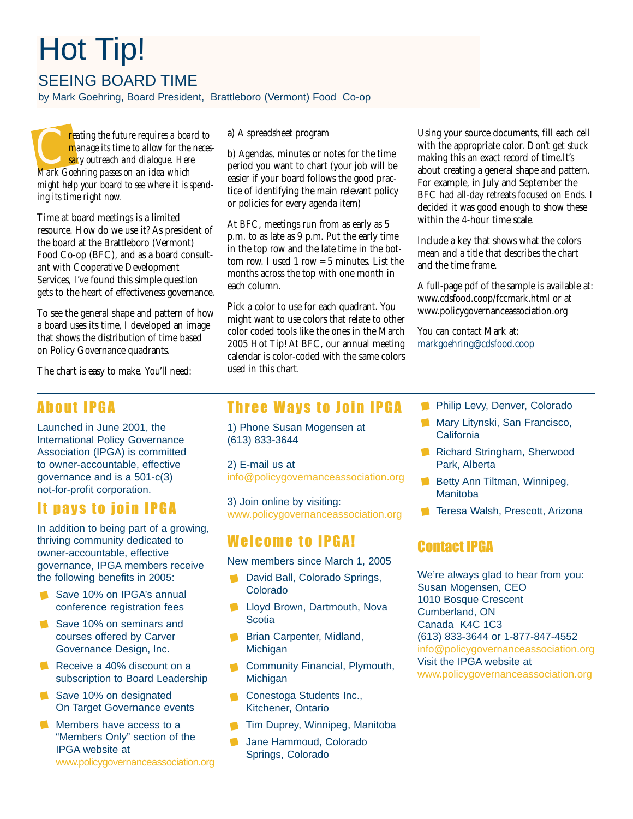# Hot Tip!

SEEING BOARD TIME

by Mark Goehring, Board President, Brattleboro (Vermont) Food Co-op

**CALC** *reating the future requires a board to*<br> *CALC manage its time to allow for the nece*<br> **Mark Goehring passes on an idea which** *manage its time to allow for the necessary outreach and dialogue. Here might help your board to see where it is spending its time right now.*

Time at board meetings is a limited resource. How do we use it? As president of the board at the Brattleboro (Vermont) Food Co-op (BFC), and as a board consultant with Cooperative Development Services, I've found this simple question gets to the heart of effectiveness governance.

To see the general shape and pattern of how a board uses its time, I developed an image that shows the distribution of time based on Policy Governance quadrants.

The chart is easy to make. You'll need:

#### About IPGA

Launched in June 2001, the International Policy Governance Association (IPGA) is committed to owner-accountable, effective governance and is a 501-c(3) not-for-profit corporation.

#### It pays to join IPGA

In addition to being part of a growing, thriving community dedicated to owner-accountable, effective governance, IPGA members receive the following benefits in 2005:

- Save 10% on IPGA's annual conference registration fees
- Save 10% on seminars and courses offered by Carver Governance Design, Inc.
- Receive a 40% discount on a subscription to Board Leadership
- Save 10% on designated On Target Governance events
- Members have access to a "Members Only" section of the IPGA website at www.policygovernanceassociation.org

a) A spreadsheet program

b) Agendas, minutes or notes for the time period you want to chart (your job will be easier if your board follows the good practice of identifying the main relevant policy or policies for every agenda item)

At BFC, meetings run from as early as 5 p.m. to as late as 9 p.m. Put the early time in the top row and the late time in the bottom row. I used 1 row = 5 minutes. List the months across the top with one month in each column.

Pick a color to use for each quadrant. You might want to use colors that relate to other color coded tools like the ones in the March 2005 Hot Tip! At BFC, our annual meeting calendar is color-coded with the same colors used in this chart.

Using your source documents, fill each cell with the appropriate color. Don't get stuck making this an exact record of time.It's about creating a general shape and pattern. For example, in July and September the BFC had all-day retreats focused on Ends. I decided it was good enough to show these within the 4-hour time scale.

Include a key that shows what the colors mean and a title that describes the chart and the time frame.

A full-page pdf of the sample is available at: www.cdsfood.coop/fccmark.html or at www.policygovernanceassociation.org

You can contact Mark at: markgoehring@cdsfood.coop

Three Ways to Join IPGA

1) Phone Susan Mogensen at (613) 833-3644

2) E-mail us at info@policygovernanceassociation.org

3) Join online by visiting: www.policygovernanceassociation.org

#### Welcome to IPGA!

New members since March 1, 2005

- **David Ball, Colorado Springs,** Colorado
- **Lloyd Brown, Dartmouth, Noval Scotia**
- **Brian Carpenter, Midland, Michigan**
- Community Financial, Plymouth,  $\mathcal{L}$ **Michigan**
- **Conestoga Students Inc.,** Kitchener, Ontario
- **Tim Duprey, Winnipeg, Manitoba**
- $\blacksquare$ Jane Hammoud, Colorado Springs, Colorado
- **Philip Levy, Denver, Colorado**
- **Mary Litynski, San Francisco, California**
- Richard Stringham, Sherwood Park, Alberta
- Betty Ann Tiltman, Winnipeg, **Manitoba**
- **Tal Teresa Walsh, Prescott, Arizona**

#### Contact IPGA

We're always glad to hear from you: Susan Mogensen, CEO 1010 Bosque Crescent Cumberland, ON Canada K4C 1C3 (613) 833-3644 or 1-877-847-4552 info@policygovernanceassociation.org Visit the IPGA website at www.policygovernanceassociation.org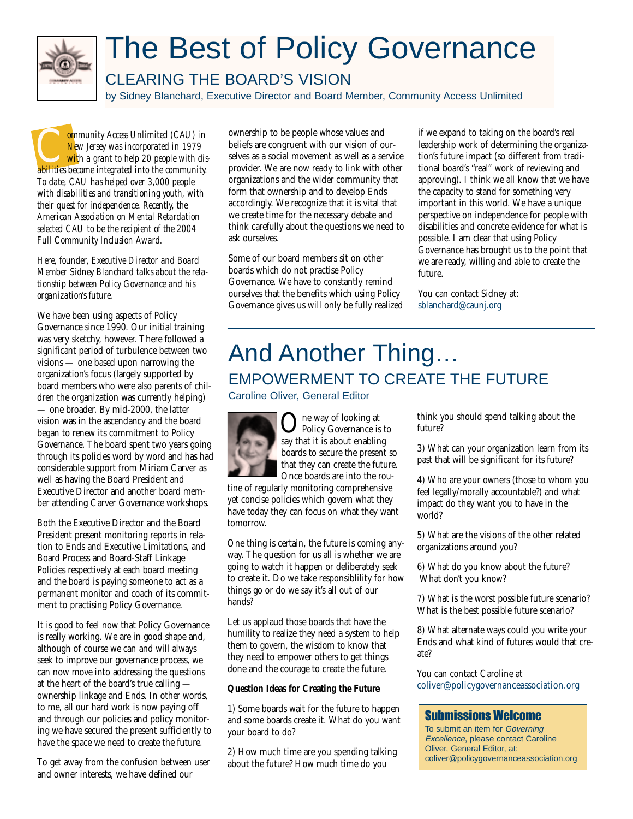

## The Best of Policy Governance

#### CLEARING THE BOARD'S VISION

by Sidney Blanchard, Executive Director and Board Member, Community Access Unlimited

**Community Access Unlimited (CAU) in**<br> *New Jersey was incorporated in 1979*<br> *abilities become integrated into the community. New Jersey was incorporated in 1979 with a grant to help 20 people with dis-To date, CAU has helped over 3,000 people with disabilities and transitioning youth, with their quest for independence. Recently, the American Association on Mental Retardation selected CAU to be the recipient of the 2004 Full Community Inclusion Award.*

*Here, founder, Executive Director and Board Member Sidney Blanchard talks about the relationship between Policy Governance and his organization's future.*

We have been using aspects of Policy Governance since 1990. Our initial training was very sketchy, however. There followed a significant period of turbulence between two visions — one based upon narrowing the organization's focus (largely supported by board members who were also parents of children the organization was currently helping) — one broader. By mid-2000, the latter vision was in the ascendancy and the board began to renew its commitment to Policy Governance. The board spent two years going through its policies word by word and has had considerable support from Miriam Carver as well as having the Board President and Executive Director and another board member attending Carver Governance workshops.

Both the Executive Director and the Board President present monitoring reports in relation to Ends and Executive Limitations, and Board Process and Board-Staff Linkage Policies respectively at each board meeting and the board is paying someone to act as a permanent monitor and coach of its commitment to practising Policy Governance.

It is good to feel now that Policy Governance is really working. We are in good shape and, although of course we can and will always seek to improve our governance process, we can now move into addressing the questions at the heart of the board's true calling ownership linkage and Ends. In other words, to me, all our hard work is now paying off and through our policies and policy monitoring we have secured the present sufficiently to have the space we need to create the future.

To get away from the confusion between user and owner interests, we have defined our

ownership to be people whose values and beliefs are congruent with our vision of ourselves as a social movement as well as a service provider. We are now ready to link with other organizations and the wider community that form that ownership and to develop Ends accordingly. We recognize that it is vital that we create time for the necessary debate and think carefully about the questions we need to ask ourselves.

Some of our board members sit on other boards which do not practise Policy Governance. We have to constantly remind ourselves that the benefits which using Policy Governance gives us will only be fully realized if we expand to taking on the board's real leadership work of determining the organization's future impact (so different from traditional board's "real" work of reviewing and approving). I think we all know that we have the capacity to stand for something very important in this world. We have a unique perspective on independence for people with disabilities and concrete evidence for what is possible. I am clear that using Policy Governance has brought us to the point that we are ready, willing and able to create the future.

You can contact Sidney at: sblanchard@caunj.org

### And Another Thing… EMPOWERMENT TO CREATE THE FUTURE Caroline Oliver, General Editor



**C** The way of looking at<br>Policy Governance is to<br>Say that it is about enabling say that it is about enabling boards to secure the present so that they can create the future. Once boards are into the rou-

tine of regularly monitoring comprehensive yet concise policies which govern what they have today they can focus on what they want tomorrow.

One thing is certain, the future is coming anyway. The question for us all is whether we are going to watch it happen or deliberately seek to create it. Do we take responsiblility for how things go or do we say it's all out of our hands?

Let us applaud those boards that have the humility to realize they need a system to help them to govern, the wisdom to know that they need to empower others to get things done and the courage to create the future.

#### **Question Ideas for Creating the Future**

1) Some boards wait for the future to happen and some boards create it. What do you want your board to do?

2) How much time are you spending talking about the future? How much time do you

think you should spend talking about the future?

3) What can your organization learn from its past that will be significant for its future?

4) Who are your owners (those to whom you feel legally/morally accountable?) and what impact do they want you to have in the world?

5) What are the visions of the other related organizations around you?

6) What do you know about the future? What don't you know?

7) What is the worst possible future scenario? What is the best possible future scenario?

8) What alternate ways could you write your Ends and what kind of futures would that create?

You can contact Caroline at coliver@policygovernanceassociation.org

#### Submissions Welcome

To submit an item for Governing Excellence, please contact Caroline Oliver, General Editor, at: coliver@policygovernanceassociation.org